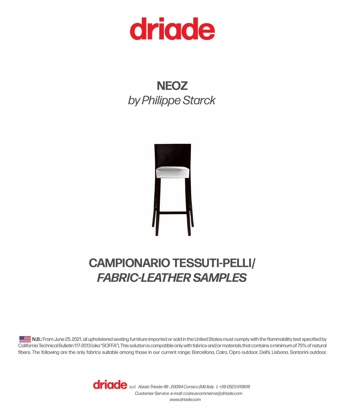

# **NEOZ** *by Philippe Starck*



## **CAMPIONARIO TESSUTI-PELLI/** *FABRIC-LEATHER SAMPLES*

**N.B.:** From June 25, 2021, all upholstered seating furniture imported or sold in the United States must comply with the flammability test specified by California Technical Bulletin 117-2013 (aka "SOFFA"). This solution is compatible only with fabrics and/or materials that contains a minimum of 75% of natural fibers. The following are the only fabrics suitable among those in our current range: Barcellona, Cairo, Cipro outdoor, Delhi, Lisbona, Santorini outdoor.

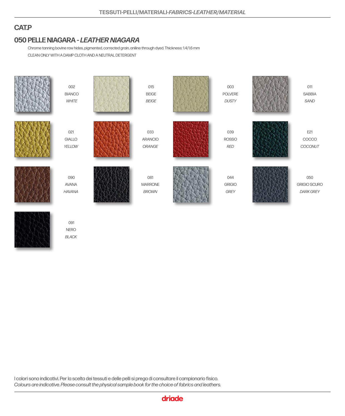#### **CAT.P**

### **PELLE NIAGARA -** *LEATHER NIAGARA* **050**

**NERO** *BLACK*

Chrome tanning bovine raw hides, pigmented, corrected grain, aniline through dyed. Thickness: 1.4/1.6 mm CLEAN ONLY WITH A DAMP CLOTH AND A NEUTRAL DETERGENT



I colori sono indicativi. Per la scelta dei tessuti e delle pelli si prega di consultare il campionario fisico. *Colours are indicative. Please consult the physical sample book for the choice of fabrics and leathers.*